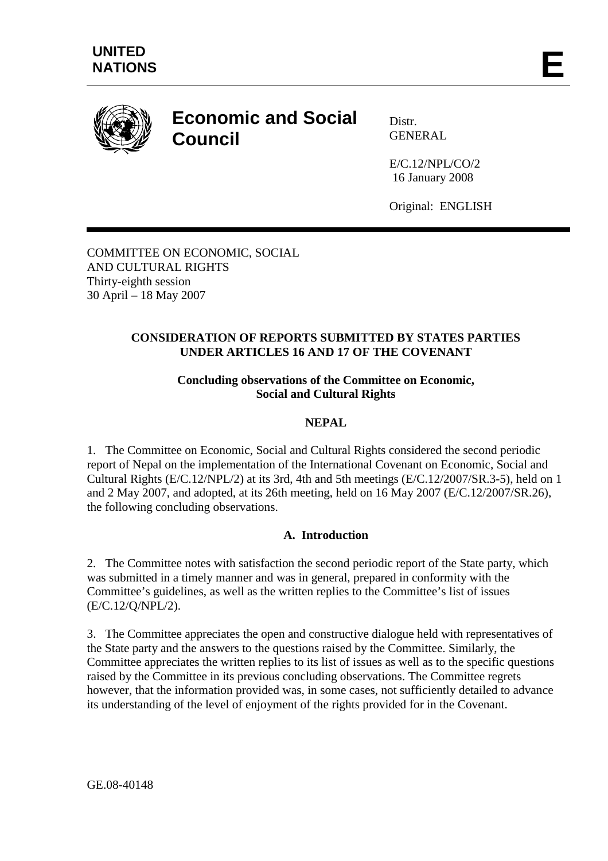

# **Economic and Social Council**

Distr. GENERAL

E/C.12/NPL/CO/2 16 January 2008

Original: ENGLISH

COMMITTEE ON ECONOMIC, SOCIAL AND CULTURAL RIGHTS Thirty-eighth session 30 April – 18 May 2007

# **CONSIDERATION OF REPORTS SUBMITTED BY STATES PARTIES UNDER ARTICLES 16 AND 17 OF THE COVENANT**

### **Concluding observations of the Committee on Economic, Social and Cultural Rights**

## **NEPAL**

1. The Committee on Economic, Social and Cultural Rights considered the second periodic report of Nepal on the implementation of the International Covenant on Economic, Social and Cultural Rights (E/C.12/NPL/2) at its 3rd, 4th and 5th meetings (E/C.12/2007/SR.3-5), held on 1 and 2 May 2007, and adopted, at its 26th meeting, held on 16 May 2007 (E/C.12/2007/SR.26), the following concluding observations.

# **A. Introduction**

2. The Committee notes with satisfaction the second periodic report of the State party, which was submitted in a timely manner and was in general, prepared in conformity with the Committee's guidelines, as well as the written replies to the Committee's list of issues (E/C.12/Q/NPL/2).

3. The Committee appreciates the open and constructive dialogue held with representatives of the State party and the answers to the questions raised by the Committee. Similarly, the Committee appreciates the written replies to its list of issues as well as to the specific questions raised by the Committee in its previous concluding observations. The Committee regrets however, that the information provided was, in some cases, not sufficiently detailed to advance its understanding of the level of enjoyment of the rights provided for in the Covenant.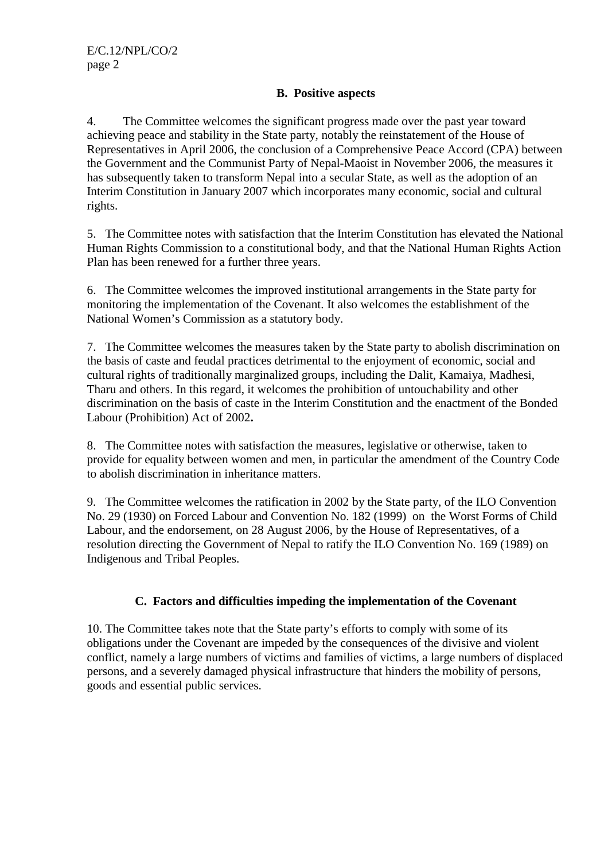## **B. Positive aspects**

4. The Committee welcomes the significant progress made over the past year toward achieving peace and stability in the State party, notably the reinstatement of the House of Representatives in April 2006, the conclusion of a Comprehensive Peace Accord (CPA) between the Government and the Communist Party of Nepal-Maoist in November 2006, the measures it has subsequently taken to transform Nepal into a secular State, as well as the adoption of an Interim Constitution in January 2007 which incorporates many economic, social and cultural rights.

5. The Committee notes with satisfaction that the Interim Constitution has elevated the National Human Rights Commission to a constitutional body, and that the National Human Rights Action Plan has been renewed for a further three years.

6. The Committee welcomes the improved institutional arrangements in the State party for monitoring the implementation of the Covenant. It also welcomes the establishment of the National Women's Commission as a statutory body.

7. The Committee welcomes the measures taken by the State party to abolish discrimination on the basis of caste and feudal practices detrimental to the enjoyment of economic, social and cultural rights of traditionally marginalized groups, including the Dalit, Kamaiya, Madhesi, Tharu and others. In this regard, it welcomes the prohibition of untouchability and other discrimination on the basis of caste in the Interim Constitution and the enactment of the Bonded Labour (Prohibition) Act of 2002**.**

8. The Committee notes with satisfaction the measures, legislative or otherwise, taken to provide for equality between women and men, in particular the amendment of the Country Code to abolish discrimination in inheritance matters.

9. The Committee welcomes the ratification in 2002 by the State party, of the ILO Convention No. 29 (1930) on Forced Labour and Convention No. 182 (1999) on the Worst Forms of Child Labour, and the endorsement, on 28 August 2006, by the House of Representatives, of a resolution directing the Government of Nepal to ratify the ILO Convention No. 169 (1989) on Indigenous and Tribal Peoples.

# **C. Factors and difficulties impeding the implementation of the Covenant**

10. The Committee takes note that the State party's efforts to comply with some of its obligations under the Covenant are impeded by the consequences of the divisive and violent conflict, namely a large numbers of victims and families of victims, a large numbers of displaced persons, and a severely damaged physical infrastructure that hinders the mobility of persons, goods and essential public services.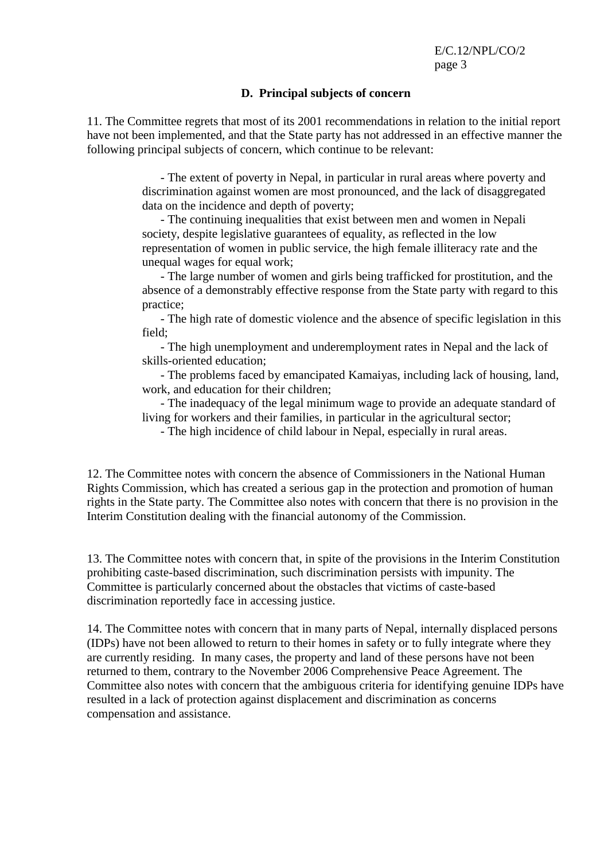#### **D. Principal subjects of concern**

11. The Committee regrets that most of its 2001 recommendations in relation to the initial report have not been implemented, and that the State party has not addressed in an effective manner the following principal subjects of concern, which continue to be relevant:

> - The extent of poverty in Nepal, in particular in rural areas where poverty and discrimination against women are most pronounced, and the lack of disaggregated data on the incidence and depth of poverty;

- The continuing inequalities that exist between men and women in Nepali society, despite legislative guarantees of equality, as reflected in the low representation of women in public service, the high female illiteracy rate and the unequal wages for equal work;

- The large number of women and girls being trafficked for prostitution, and the absence of a demonstrably effective response from the State party with regard to this practice;

- The high rate of domestic violence and the absence of specific legislation in this field;

- The high unemployment and underemployment rates in Nepal and the lack of skills-oriented education;

- The problems faced by emancipated Kamaiyas, including lack of housing, land, work, and education for their children;

- The inadequacy of the legal minimum wage to provide an adequate standard of living for workers and their families, in particular in the agricultural sector;

- The high incidence of child labour in Nepal, especially in rural areas.

12. The Committee notes with concern the absence of Commissioners in the National Human Rights Commission, which has created a serious gap in the protection and promotion of human rights in the State party. The Committee also notes with concern that there is no provision in the Interim Constitution dealing with the financial autonomy of the Commission.

13. The Committee notes with concern that, in spite of the provisions in the Interim Constitution prohibiting caste-based discrimination, such discrimination persists with impunity. The Committee is particularly concerned about the obstacles that victims of caste-based discrimination reportedly face in accessing justice.

14. The Committee notes with concern that in many parts of Nepal, internally displaced persons (IDPs) have not been allowed to return to their homes in safety or to fully integrate where they are currently residing. In many cases, the property and land of these persons have not been returned to them, contrary to the November 2006 Comprehensive Peace Agreement. The Committee also notes with concern that the ambiguous criteria for identifying genuine IDPs have resulted in a lack of protection against displacement and discrimination as concerns compensation and assistance.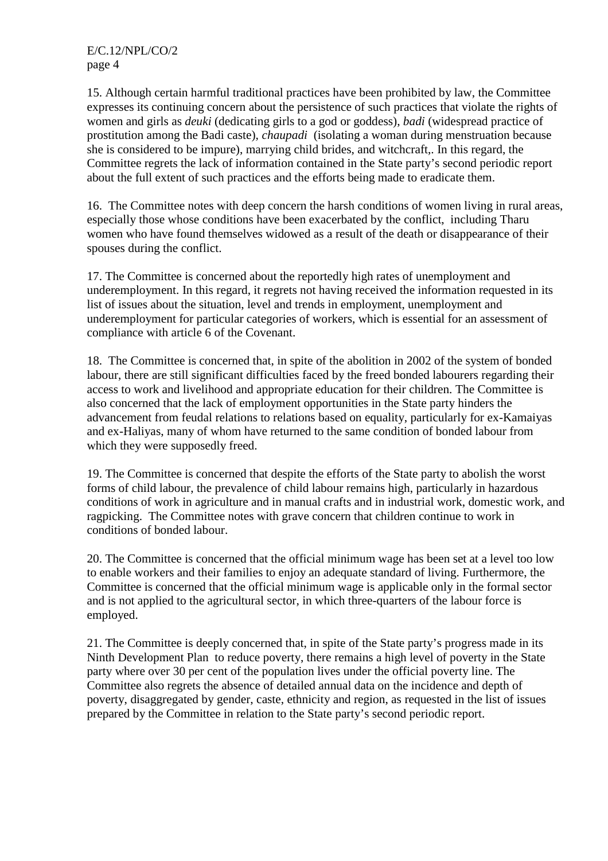15. Although certain harmful traditional practices have been prohibited by law, the Committee expresses its continuing concern about the persistence of such practices that violate the rights of women and girls as *deuki* (dedicating girls to a god or goddess), *badi* (widespread practice of prostitution among the Badi caste), *chaupadi* (isolating a woman during menstruation because she is considered to be impure), marrying child brides, and witchcraft,. In this regard, the Committee regrets the lack of information contained in the State party's second periodic report about the full extent of such practices and the efforts being made to eradicate them.

16. The Committee notes with deep concern the harsh conditions of women living in rural areas, especially those whose conditions have been exacerbated by the conflict, including Tharu women who have found themselves widowed as a result of the death or disappearance of their spouses during the conflict.

17. The Committee is concerned about the reportedly high rates of unemployment and underemployment. In this regard, it regrets not having received the information requested in its list of issues about the situation, level and trends in employment, unemployment and underemployment for particular categories of workers, which is essential for an assessment of compliance with article 6 of the Covenant.

18. The Committee is concerned that, in spite of the abolition in 2002 of the system of bonded labour, there are still significant difficulties faced by the freed bonded labourers regarding their access to work and livelihood and appropriate education for their children. The Committee is also concerned that the lack of employment opportunities in the State party hinders the advancement from feudal relations to relations based on equality, particularly for ex-Kamaiyas and ex-Haliyas, many of whom have returned to the same condition of bonded labour from which they were supposedly freed.

19. The Committee is concerned that despite the efforts of the State party to abolish the worst forms of child labour, the prevalence of child labour remains high, particularly in hazardous conditions of work in agriculture and in manual crafts and in industrial work, domestic work, and ragpicking. The Committee notes with grave concern that children continue to work in conditions of bonded labour.

20. The Committee is concerned that the official minimum wage has been set at a level too low to enable workers and their families to enjoy an adequate standard of living. Furthermore, the Committee is concerned that the official minimum wage is applicable only in the formal sector and is not applied to the agricultural sector, in which three-quarters of the labour force is employed.

21. The Committee is deeply concerned that, in spite of the State party's progress made in its Ninth Development Plan to reduce poverty, there remains a high level of poverty in the State party where over 30 per cent of the population lives under the official poverty line. The Committee also regrets the absence of detailed annual data on the incidence and depth of poverty, disaggregated by gender, caste, ethnicity and region, as requested in the list of issues prepared by the Committee in relation to the State party's second periodic report.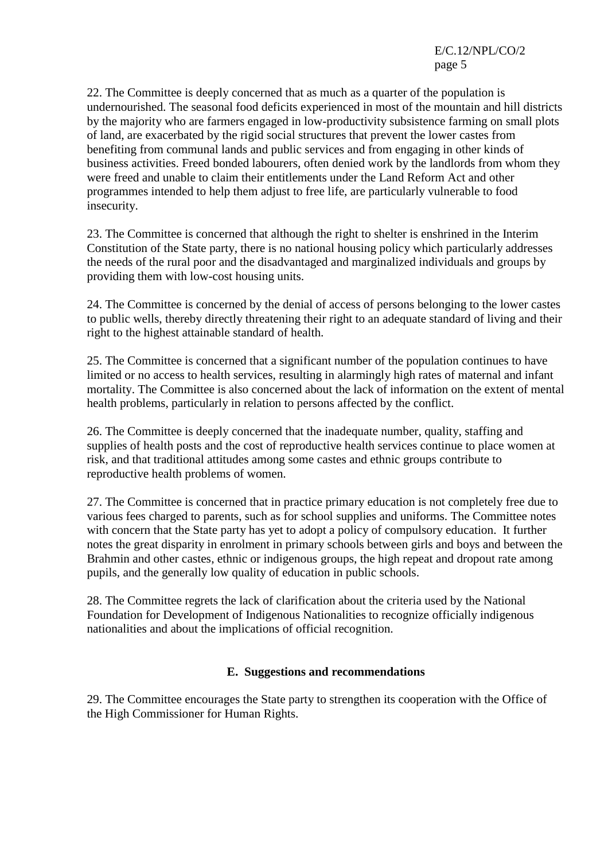22. The Committee is deeply concerned that as much as a quarter of the population is undernourished. The seasonal food deficits experienced in most of the mountain and hill districts by the majority who are farmers engaged in low-productivity subsistence farming on small plots of land, are exacerbated by the rigid social structures that prevent the lower castes from benefiting from communal lands and public services and from engaging in other kinds of business activities. Freed bonded labourers, often denied work by the landlords from whom they were freed and unable to claim their entitlements under the Land Reform Act and other programmes intended to help them adjust to free life, are particularly vulnerable to food insecurity.

23. The Committee is concerned that although the right to shelter is enshrined in the Interim Constitution of the State party, there is no national housing policy which particularly addresses the needs of the rural poor and the disadvantaged and marginalized individuals and groups by providing them with low-cost housing units.

24. The Committee is concerned by the denial of access of persons belonging to the lower castes to public wells, thereby directly threatening their right to an adequate standard of living and their right to the highest attainable standard of health.

25. The Committee is concerned that a significant number of the population continues to have limited or no access to health services, resulting in alarmingly high rates of maternal and infant mortality. The Committee is also concerned about the lack of information on the extent of mental health problems, particularly in relation to persons affected by the conflict.

26. The Committee is deeply concerned that the inadequate number, quality, staffing and supplies of health posts and the cost of reproductive health services continue to place women at risk, and that traditional attitudes among some castes and ethnic groups contribute to reproductive health problems of women.

27. The Committee is concerned that in practice primary education is not completely free due to various fees charged to parents, such as for school supplies and uniforms. The Committee notes with concern that the State party has yet to adopt a policy of compulsory education. It further notes the great disparity in enrolment in primary schools between girls and boys and between the Brahmin and other castes, ethnic or indigenous groups, the high repeat and dropout rate among pupils, and the generally low quality of education in public schools.

28. The Committee regrets the lack of clarification about the criteria used by the National Foundation for Development of Indigenous Nationalities to recognize officially indigenous nationalities and about the implications of official recognition.

#### **E. Suggestions and recommendations**

29. The Committee encourages the State party to strengthen its cooperation with the Office of the High Commissioner for Human Rights.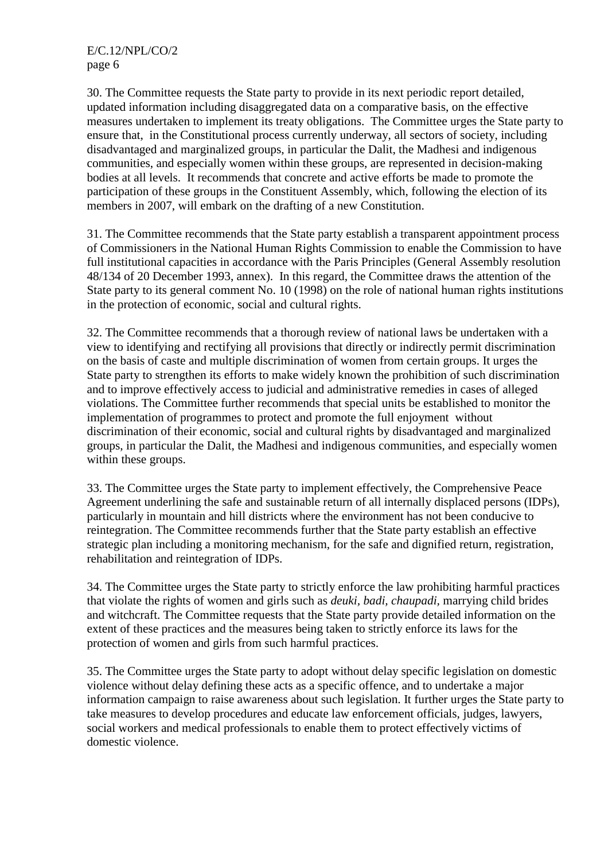30. The Committee requests the State party to provide in its next periodic report detailed, updated information including disaggregated data on a comparative basis, on the effective measures undertaken to implement its treaty obligations. The Committee urges the State party to ensure that, in the Constitutional process currently underway, all sectors of society, including disadvantaged and marginalized groups, in particular the Dalit, the Madhesi and indigenous communities, and especially women within these groups, are represented in decision-making bodies at all levels. It recommends that concrete and active efforts be made to promote the participation of these groups in the Constituent Assembly, which, following the election of its members in 2007, will embark on the drafting of a new Constitution.

31. The Committee recommends that the State party establish a transparent appointment process of Commissioners in the National Human Rights Commission to enable the Commission to have full institutional capacities in accordance with the Paris Principles (General Assembly resolution 48/134 of 20 December 1993, annex). In this regard, the Committee draws the attention of the State party to its general comment No. 10 (1998) on the role of national human rights institutions in the protection of economic, social and cultural rights.

32. The Committee recommends that a thorough review of national laws be undertaken with a view to identifying and rectifying all provisions that directly or indirectly permit discrimination on the basis of caste and multiple discrimination of women from certain groups. It urges the State party to strengthen its efforts to make widely known the prohibition of such discrimination and to improve effectively access to judicial and administrative remedies in cases of alleged violations. The Committee further recommends that special units be established to monitor the implementation of programmes to protect and promote the full enjoyment without discrimination of their economic, social and cultural rights by disadvantaged and marginalized groups, in particular the Dalit, the Madhesi and indigenous communities, and especially women within these groups.

33. The Committee urges the State party to implement effectively, the Comprehensive Peace Agreement underlining the safe and sustainable return of all internally displaced persons (IDPs), particularly in mountain and hill districts where the environment has not been conducive to reintegration. The Committee recommends further that the State party establish an effective strategic plan including a monitoring mechanism, for the safe and dignified return, registration, rehabilitation and reintegration of IDPs.

34. The Committee urges the State party to strictly enforce the law prohibiting harmful practices that violate the rights of women and girls such as *deuki, badi, chaupadi,* marrying child brides and witchcraft. The Committee requests that the State party provide detailed information on the extent of these practices and the measures being taken to strictly enforce its laws for the protection of women and girls from such harmful practices.

35. The Committee urges the State party to adopt without delay specific legislation on domestic violence without delay defining these acts as a specific offence, and to undertake a major information campaign to raise awareness about such legislation. It further urges the State party to take measures to develop procedures and educate law enforcement officials, judges, lawyers, social workers and medical professionals to enable them to protect effectively victims of domestic violence.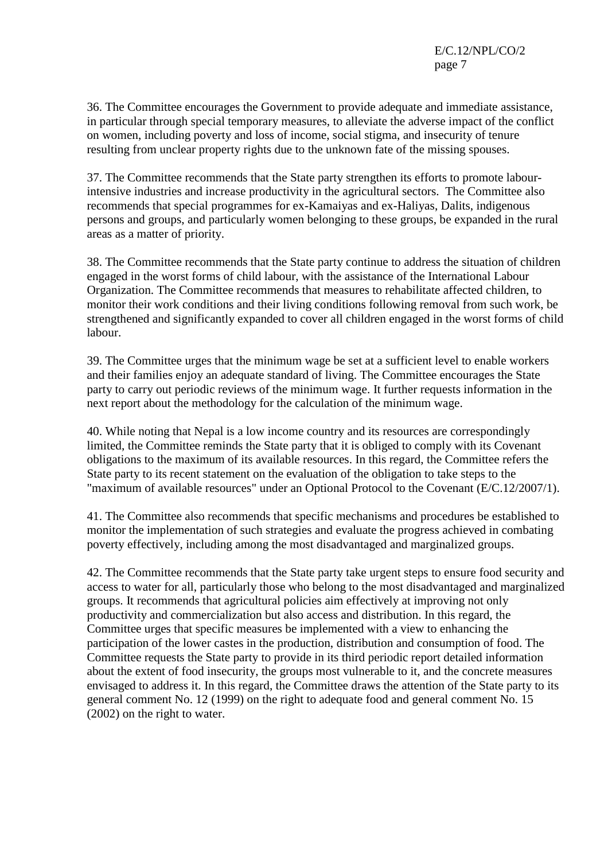36. The Committee encourages the Government to provide adequate and immediate assistance, in particular through special temporary measures, to alleviate the adverse impact of the conflict on women, including poverty and loss of income, social stigma, and insecurity of tenure resulting from unclear property rights due to the unknown fate of the missing spouses.

37. The Committee recommends that the State party strengthen its efforts to promote labourintensive industries and increase productivity in the agricultural sectors. The Committee also recommends that special programmes for ex-Kamaiyas and ex-Haliyas, Dalits, indigenous persons and groups, and particularly women belonging to these groups, be expanded in the rural areas as a matter of priority.

38. The Committee recommends that the State party continue to address the situation of children engaged in the worst forms of child labour, with the assistance of the International Labour Organization. The Committee recommends that measures to rehabilitate affected children, to monitor their work conditions and their living conditions following removal from such work, be strengthened and significantly expanded to cover all children engaged in the worst forms of child labour.

39. The Committee urges that the minimum wage be set at a sufficient level to enable workers and their families enjoy an adequate standard of living. The Committee encourages the State party to carry out periodic reviews of the minimum wage. It further requests information in the next report about the methodology for the calculation of the minimum wage.

40. While noting that Nepal is a low income country and its resources are correspondingly limited, the Committee reminds the State party that it is obliged to comply with its Covenant obligations to the maximum of its available resources. In this regard, the Committee refers the State party to its recent statement on the evaluation of the obligation to take steps to the "maximum of available resources" under an Optional Protocol to the Covenant (E/C.12/2007/1).

41. The Committee also recommends that specific mechanisms and procedures be established to monitor the implementation of such strategies and evaluate the progress achieved in combating poverty effectively, including among the most disadvantaged and marginalized groups.

42. The Committee recommends that the State party take urgent steps to ensure food security and access to water for all, particularly those who belong to the most disadvantaged and marginalized groups. It recommends that agricultural policies aim effectively at improving not only productivity and commercialization but also access and distribution. In this regard, the Committee urges that specific measures be implemented with a view to enhancing the participation of the lower castes in the production, distribution and consumption of food. The Committee requests the State party to provide in its third periodic report detailed information about the extent of food insecurity, the groups most vulnerable to it, and the concrete measures envisaged to address it. In this regard, the Committee draws the attention of the State party to its general comment No. 12 (1999) on the right to adequate food and general comment No. 15 (2002) on the right to water.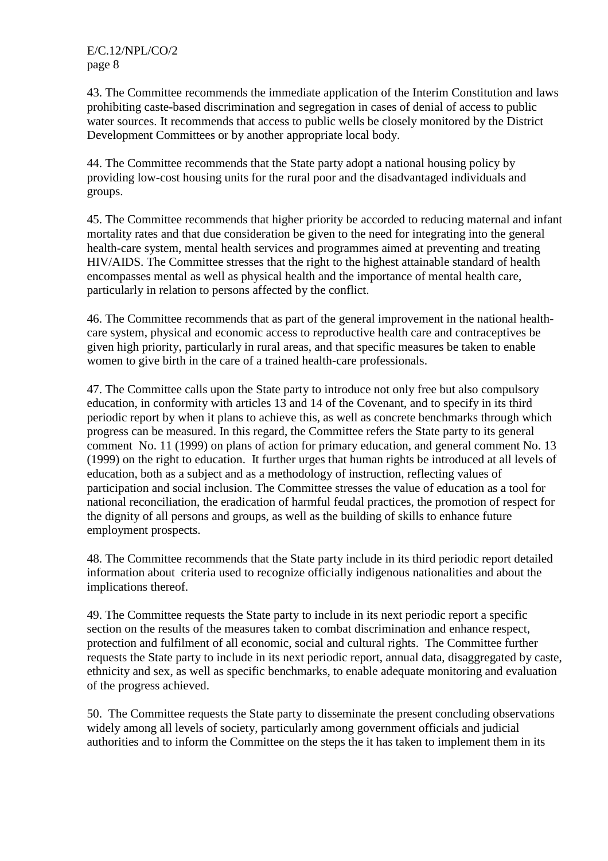43. The Committee recommends the immediate application of the Interim Constitution and laws prohibiting caste-based discrimination and segregation in cases of denial of access to public water sources. It recommends that access to public wells be closely monitored by the District Development Committees or by another appropriate local body.

44. The Committee recommends that the State party adopt a national housing policy by providing low-cost housing units for the rural poor and the disadvantaged individuals and groups.

45. The Committee recommends that higher priority be accorded to reducing maternal and infant mortality rates and that due consideration be given to the need for integrating into the general health-care system, mental health services and programmes aimed at preventing and treating HIV/AIDS. The Committee stresses that the right to the highest attainable standard of health encompasses mental as well as physical health and the importance of mental health care, particularly in relation to persons affected by the conflict.

46. The Committee recommends that as part of the general improvement in the national healthcare system, physical and economic access to reproductive health care and contraceptives be given high priority, particularly in rural areas, and that specific measures be taken to enable women to give birth in the care of a trained health-care professionals.

47. The Committee calls upon the State party to introduce not only free but also compulsory education, in conformity with articles 13 and 14 of the Covenant, and to specify in its third periodic report by when it plans to achieve this, as well as concrete benchmarks through which progress can be measured. In this regard, the Committee refers the State party to its general comment No. 11 (1999) on plans of action for primary education, and general comment No. 13 (1999) on the right to education. It further urges that human rights be introduced at all levels of education, both as a subject and as a methodology of instruction, reflecting values of participation and social inclusion. The Committee stresses the value of education as a tool for national reconciliation, the eradication of harmful feudal practices, the promotion of respect for the dignity of all persons and groups, as well as the building of skills to enhance future employment prospects.

48. The Committee recommends that the State party include in its third periodic report detailed information about criteria used to recognize officially indigenous nationalities and about the implications thereof.

49. The Committee requests the State party to include in its next periodic report a specific section on the results of the measures taken to combat discrimination and enhance respect, protection and fulfilment of all economic, social and cultural rights. The Committee further requests the State party to include in its next periodic report, annual data, disaggregated by caste, ethnicity and sex, as well as specific benchmarks, to enable adequate monitoring and evaluation of the progress achieved.

50. The Committee requests the State party to disseminate the present concluding observations widely among all levels of society, particularly among government officials and judicial authorities and to inform the Committee on the steps the it has taken to implement them in its